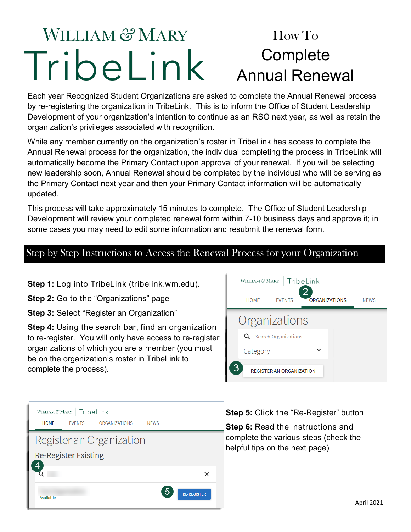### **WILLIAM & MARY** How To **Complete** Tribelink Annual Renewal

Each year Recognized Student Organizations are asked to complete the Annual Renewal process by re-registering the organization in TribeLink. This is to inform the Office of Student Leadership Development of your organization's intention to continue as an RSO next year, as well as retain the organization's privileges associated with recognition.

While any member currently on the organization's roster in TribeLink has access to complete the Annual Renewal process for the organization, the individual completing the process in TribeLink will automatically become the Primary Contact upon approval of your renewal. If you will be selecting new leadership soon, Annual Renewal should be completed by the individual who will be serving as the Primary Contact next year and then your Primary Contact information will be automatically updated.

This process will take approximately 15 minutes to complete. The Office of Student Leadership Development will review your completed renewal form within 7-10 business days and approve it; in some cases you may need to edit some information and resubmit the renewal form.

### Step by Step Instructions to Access the Renewal Process for your Organization

**Step 1:** Log into TribeLink (tribelink.wm.edu).

**Step 2:** Go to the "Organizations" page

**Step 3:** Select "Register an Organization"

**Step 4:** Using the search bar, find an organization to re-register. You will only have access to re-register organizations of which you are a member (you must be on the organization's roster in TribeLink to complete the process).



| WILLIAM & MARY   TribeLink  |  |                      |             |                    |
|-----------------------------|--|----------------------|-------------|--------------------|
| <b>HOMF</b>                 |  | EVENTS ORGANIZATIONS | <b>NFWS</b> |                    |
| Register an Organization    |  |                      |             |                    |
| <b>Re-Register Existing</b> |  |                      |             |                    |
|                             |  |                      |             |                    |
| Available                   |  |                      |             | <b>RE-REGISTER</b> |

**Step 5:** Click the "Re-Register" button

**Step 6:** Read the instructions and complete the various steps (check the helpful tips on the next page)